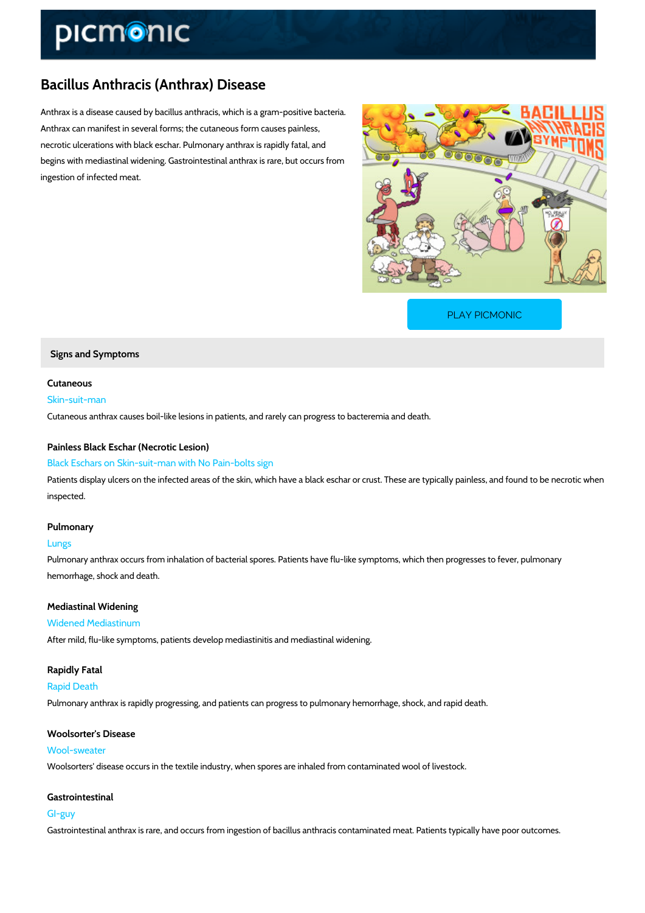## Bacillus Anthracis (Anthrax) Disease

Anthrax is a disease caused by bacillus anthracis, which is a gram-positive bacteria. Anthrax can manifest in several forms; the cutaneous form causes painless, necrotic ulcerations with black eschar. Pulmonary anthrax is rapidly fatal, and begins with mediastinal widening. Gastrointestinal anthrax is rare, but occurs from ingestion of infected meat.

[PLAY PICMONIC](https://www.picmonic.com/learn/bacillus-anthracis-anthrax-symptoms_1792?utm_source=downloadable_content&utm_medium=distributedcontent&utm_campaign=pathways_pdf&utm_content=Bacillus Anthracis (Anthrax) Disease&utm_ad_group=leads&utm_market=all)

Signs and Symptoms

Cutaneous Skin-suit-man Cutaneous anthrax causes boil-like lesions in patients, and rarely can progress to bacteremia

Painless Black Eschar (Necrotic Lesion) Black Eschars on Skin-suit-man with No Pain-bolts sign

Patients display ulcers on the infected areas of the skin, which have a black eschar or crust. inspected.

Pulmonary

Lungs

Pulmonary anthrax occurs from inhalation of bacterial spores. Patients have flu-like symptoms hemorrhage, shock and death.

Mediastinal Widening Widened Mediastinum After mild, flu-like symptoms, patients develop mediastinitis and mediastinal widening.

Rapidly Fatal Rapid Death Pulmonary anthrax is rapidly progressing, and patients can progress to pulmonary hemorrhage

Woolsorter's Disease Wool-sweater Woolsorters' disease occurs in the textile industry, when spores are inhaled from contaminate

Gastrointestinal GI-guy Gastrointestinal anthrax is rare, and occurs from ingestion of bacillus anthracis contaminated